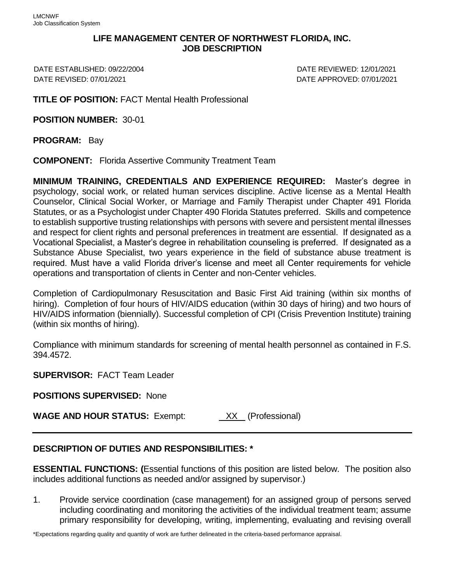## **LIFE MANAGEMENT CENTER OF NORTHWEST FLORIDA, INC. JOB DESCRIPTION**

DATE ESTABLISHED: 09/22/2004 DATE REVIEWED: 12/01/2021 DATE REVISED: 07/01/2021 DATE APPROVED: 07/01/2021

**TITLE OF POSITION:** FACT Mental Health Professional

**POSITION NUMBER:** 30-01

**PROGRAM:** Bay

**COMPONENT:** Florida Assertive Community Treatment Team

**MINIMUM TRAINING, CREDENTIALS AND EXPERIENCE REQUIRED:** Master's degree in psychology, social work, or related human services discipline. Active license as a Mental Health Counselor, Clinical Social Worker, or Marriage and Family Therapist under Chapter 491 Florida Statutes, or as a Psychologist under Chapter 490 Florida Statutes preferred. Skills and competence to establish supportive trusting relationships with persons with severe and persistent mental illnesses and respect for client rights and personal preferences in treatment are essential. If designated as a Vocational Specialist, a Master's degree in rehabilitation counseling is preferred. If designated as a Substance Abuse Specialist, two years experience in the field of substance abuse treatment is required. Must have a valid Florida driver's license and meet all Center requirements for vehicle operations and transportation of clients in Center and non-Center vehicles.

Completion of Cardiopulmonary Resuscitation and Basic First Aid training (within six months of hiring). Completion of four hours of HIV/AIDS education (within 30 days of hiring) and two hours of HIV/AIDS information (biennially). Successful completion of CPI (Crisis Prevention Institute) training (within six months of hiring).

Compliance with minimum standards for screening of mental health personnel as contained in F.S. 394.4572.

**SUPERVISOR:** FACT Team Leader

**POSITIONS SUPERVISED:** None

**WAGE AND HOUR STATUS:** Exempt: XX (Professional)

## **DESCRIPTION OF DUTIES AND RESPONSIBILITIES: \***

**ESSENTIAL FUNCTIONS: (**Essential functions of this position are listed below. The position also includes additional functions as needed and/or assigned by supervisor.)

1. Provide service coordination (case management) for an assigned group of persons served including coordinating and monitoring the activities of the individual treatment team; assume primary responsibility for developing, writing, implementing, evaluating and revising overall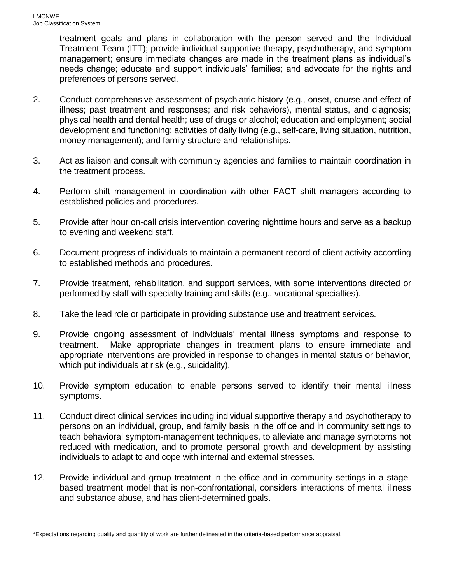treatment goals and plans in collaboration with the person served and the Individual Treatment Team (ITT); provide individual supportive therapy, psychotherapy, and symptom management; ensure immediate changes are made in the treatment plans as individual's needs change; educate and support individuals' families; and advocate for the rights and preferences of persons served.

- 2. Conduct comprehensive assessment of psychiatric history (e.g., onset, course and effect of illness; past treatment and responses; and risk behaviors), mental status, and diagnosis; physical health and dental health; use of drugs or alcohol; education and employment; social development and functioning; activities of daily living (e.g., self-care, living situation, nutrition, money management); and family structure and relationships.
- 3. Act as liaison and consult with community agencies and families to maintain coordination in the treatment process.
- 4. Perform shift management in coordination with other FACT shift managers according to established policies and procedures.
- 5. Provide after hour on-call crisis intervention covering nighttime hours and serve as a backup to evening and weekend staff.
- 6. Document progress of individuals to maintain a permanent record of client activity according to established methods and procedures.
- 7. Provide treatment, rehabilitation, and support services, with some interventions directed or performed by staff with specialty training and skills (e.g., vocational specialties).
- 8. Take the lead role or participate in providing substance use and treatment services.
- 9. Provide ongoing assessment of individuals' mental illness symptoms and response to treatment. Make appropriate changes in treatment plans to ensure immediate and appropriate interventions are provided in response to changes in mental status or behavior, which put individuals at risk (e.g., suicidality).
- 10. Provide symptom education to enable persons served to identify their mental illness symptoms.
- 11. Conduct direct clinical services including individual supportive therapy and psychotherapy to persons on an individual, group, and family basis in the office and in community settings to teach behavioral symptom-management techniques, to alleviate and manage symptoms not reduced with medication, and to promote personal growth and development by assisting individuals to adapt to and cope with internal and external stresses.
- 12. Provide individual and group treatment in the office and in community settings in a stagebased treatment model that is non-confrontational, considers interactions of mental illness and substance abuse, and has client-determined goals.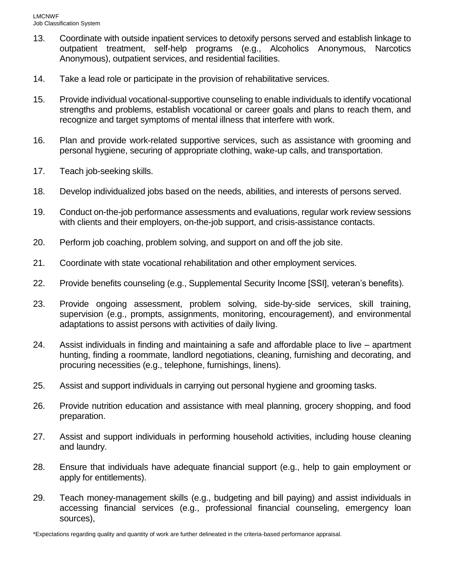- 13. Coordinate with outside inpatient services to detoxify persons served and establish linkage to outpatient treatment, self-help programs (e.g., Alcoholics Anonymous, Narcotics Anonymous), outpatient services, and residential facilities.
- 14. Take a lead role or participate in the provision of rehabilitative services.
- 15. Provide individual vocational-supportive counseling to enable individuals to identify vocational strengths and problems, establish vocational or career goals and plans to reach them, and recognize and target symptoms of mental illness that interfere with work.
- 16. Plan and provide work-related supportive services, such as assistance with grooming and personal hygiene, securing of appropriate clothing, wake-up calls, and transportation.
- 17. Teach job-seeking skills.
- 18. Develop individualized jobs based on the needs, abilities, and interests of persons served.
- 19. Conduct on-the-job performance assessments and evaluations, regular work review sessions with clients and their employers, on-the-job support, and crisis-assistance contacts.
- 20. Perform job coaching, problem solving, and support on and off the job site.
- 21. Coordinate with state vocational rehabilitation and other employment services.
- 22. Provide benefits counseling (e.g., Supplemental Security Income [SSI], veteran's benefits).
- 23. Provide ongoing assessment, problem solving, side-by-side services, skill training, supervision (e.g., prompts, assignments, monitoring, encouragement), and environmental adaptations to assist persons with activities of daily living.
- 24. Assist individuals in finding and maintaining a safe and affordable place to live apartment hunting, finding a roommate, landlord negotiations, cleaning, furnishing and decorating, and procuring necessities (e.g., telephone, furnishings, linens).
- 25. Assist and support individuals in carrying out personal hygiene and grooming tasks.
- 26. Provide nutrition education and assistance with meal planning, grocery shopping, and food preparation.
- 27. Assist and support individuals in performing household activities, including house cleaning and laundry.
- 28. Ensure that individuals have adequate financial support (e.g., help to gain employment or apply for entitlements).
- 29. Teach money-management skills (e.g., budgeting and bill paying) and assist individuals in accessing financial services (e.g., professional financial counseling, emergency loan sources),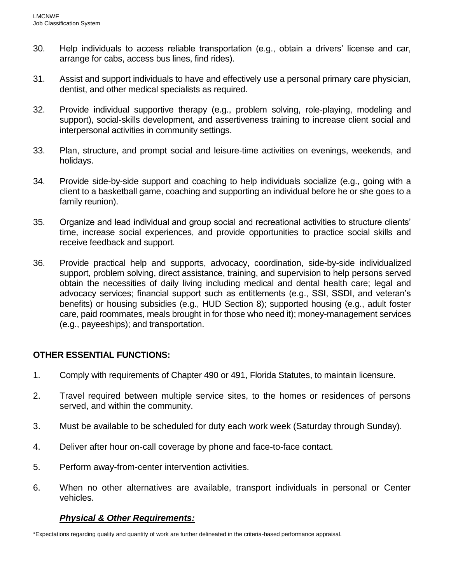- 30. Help individuals to access reliable transportation (e.g., obtain a drivers' license and car, arrange for cabs, access bus lines, find rides).
- 31. Assist and support individuals to have and effectively use a personal primary care physician, dentist, and other medical specialists as required.
- 32. Provide individual supportive therapy (e.g., problem solving, role-playing, modeling and support), social-skills development, and assertiveness training to increase client social and interpersonal activities in community settings.
- 33. Plan, structure, and prompt social and leisure-time activities on evenings, weekends, and holidays.
- 34. Provide side-by-side support and coaching to help individuals socialize (e.g., going with a client to a basketball game, coaching and supporting an individual before he or she goes to a family reunion).
- 35. Organize and lead individual and group social and recreational activities to structure clients' time, increase social experiences, and provide opportunities to practice social skills and receive feedback and support.
- 36. Provide practical help and supports, advocacy, coordination, side-by-side individualized support, problem solving, direct assistance, training, and supervision to help persons served obtain the necessities of daily living including medical and dental health care; legal and advocacy services; financial support such as entitlements (e.g., SSI, SSDI, and veteran's benefits) or housing subsidies (e.g., HUD Section 8); supported housing (e.g., adult foster care, paid roommates, meals brought in for those who need it); money-management services (e.g., payeeships); and transportation.

## **OTHER ESSENTIAL FUNCTIONS:**

- 1. Comply with requirements of Chapter 490 or 491, Florida Statutes, to maintain licensure.
- 2. Travel required between multiple service sites, to the homes or residences of persons served, and within the community.
- 3. Must be available to be scheduled for duty each work week (Saturday through Sunday).
- 4. Deliver after hour on-call coverage by phone and face-to-face contact.
- 5. Perform away-from-center intervention activities.
- 6. When no other alternatives are available, transport individuals in personal or Center vehicles.

## *Physical & Other Requirements:*